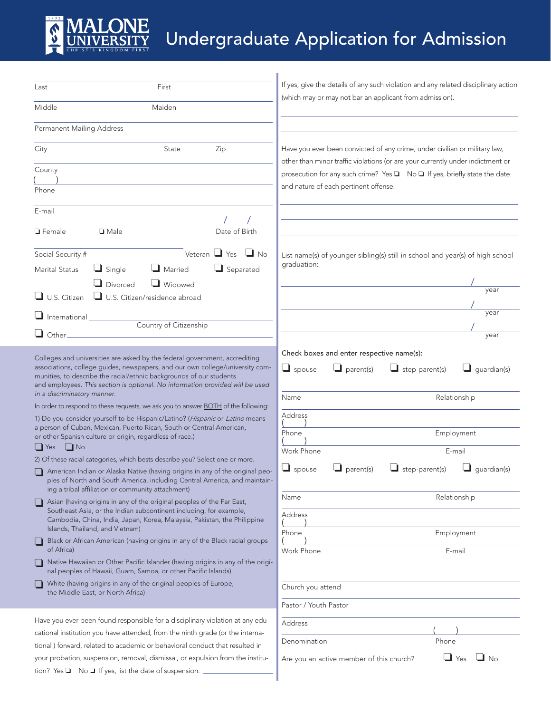

## Undergraduate Application for Admission

| Last                                                                                                                                    | First                                                                                                                                                                                                                                                                                                                                                                                                            | If yes, give the details of any such violation and any related disciplinary action |                                                                                                                                                              |                    |
|-----------------------------------------------------------------------------------------------------------------------------------------|------------------------------------------------------------------------------------------------------------------------------------------------------------------------------------------------------------------------------------------------------------------------------------------------------------------------------------------------------------------------------------------------------------------|------------------------------------------------------------------------------------|--------------------------------------------------------------------------------------------------------------------------------------------------------------|--------------------|
| Middle                                                                                                                                  | Maiden                                                                                                                                                                                                                                                                                                                                                                                                           |                                                                                    | (which may or may not bar an applicant from admission).                                                                                                      |                    |
| Permanent Mailing Address                                                                                                               |                                                                                                                                                                                                                                                                                                                                                                                                                  |                                                                                    |                                                                                                                                                              |                    |
| City                                                                                                                                    | Zip<br>State                                                                                                                                                                                                                                                                                                                                                                                                     |                                                                                    | Have you ever been convicted of any crime, under civilian or military law,<br>other than minor traffic violations (or are your currently under indictment or |                    |
| County                                                                                                                                  |                                                                                                                                                                                                                                                                                                                                                                                                                  |                                                                                    | prosecution for any such crime? Yes ■ No ■ If yes, briefly state the date                                                                                    |                    |
| Phone                                                                                                                                   |                                                                                                                                                                                                                                                                                                                                                                                                                  |                                                                                    | and nature of each pertinent offense.                                                                                                                        |                    |
| E-mail                                                                                                                                  |                                                                                                                                                                                                                                                                                                                                                                                                                  |                                                                                    |                                                                                                                                                              |                    |
| <b>□</b> Female                                                                                                                         | $\Box$ Male                                                                                                                                                                                                                                                                                                                                                                                                      | Date of Birth                                                                      |                                                                                                                                                              |                    |
| Social Security #                                                                                                                       |                                                                                                                                                                                                                                                                                                                                                                                                                  | Veteran $\Box$ Yes $\Box$ No                                                       | List name(s) of younger sibling(s) still in school and year(s) of high school                                                                                |                    |
| <b>Marital Status</b>                                                                                                                   | $\Box$ Married<br>$\Box$ Single                                                                                                                                                                                                                                                                                                                                                                                  | $\Box$ Separated                                                                   | graduation:                                                                                                                                                  |                    |
| $\Box$ U.S. Citizen                                                                                                                     | Widowed<br>Divorced<br>U.S. Citizen/residence abroad                                                                                                                                                                                                                                                                                                                                                             |                                                                                    |                                                                                                                                                              | year               |
|                                                                                                                                         |                                                                                                                                                                                                                                                                                                                                                                                                                  |                                                                                    |                                                                                                                                                              | year               |
| $\Box$ International $\Box$                                                                                                             | Country of Citizenship                                                                                                                                                                                                                                                                                                                                                                                           |                                                                                    |                                                                                                                                                              |                    |
| $\Box$ Other                                                                                                                            |                                                                                                                                                                                                                                                                                                                                                                                                                  |                                                                                    |                                                                                                                                                              | year               |
| in a discriminatory manner.                                                                                                             | Colleges and universities are asked by the federal government, accrediting<br>associations, college guides, newspapers, and our own college/university com-<br>munities, to describe the racial/ethnic backgrounds of our students<br>and employees. This section is optional. No information provided will be used<br>In order to respond to these requests, we ask you to answer <b>BOTH</b> of the following: |                                                                                    | $\Box$ spouse<br>$\Box$ parent(s)<br>$\Box$ step-parent(s)<br>Relationship<br>Name                                                                           | $\Box$ guardian(s) |
|                                                                                                                                         | 1) Do you consider yourself to be Hispanic/Latino? (Hispanic or Latino means                                                                                                                                                                                                                                                                                                                                     |                                                                                    | Address                                                                                                                                                      |                    |
| a person of Cuban, Mexican, Puerto Rican, South or Central American,<br>or other Spanish culture or origin, regardless of race.)        |                                                                                                                                                                                                                                                                                                                                                                                                                  |                                                                                    | Employment<br>Phone                                                                                                                                          |                    |
| $\Box$ No<br>$\Box$ Yes                                                                                                                 |                                                                                                                                                                                                                                                                                                                                                                                                                  |                                                                                    | Work Phone<br>E-mail                                                                                                                                         |                    |
|                                                                                                                                         | 2) Of these racial categories, which bests describe you? Select one or more.<br>American Indian or Alaska Native (having origins in any of the original peo-<br>ples of North and South America, including Central America, and maintain-<br>ing a tribal affiliation or community attachment)                                                                                                                   |                                                                                    | $\Box$ spouse<br>$\Box$ parent(s)<br>step-parent(s)                                                                                                          | quardian(s)        |
|                                                                                                                                         | Asian (having origins in any of the original peoples of the Far East,                                                                                                                                                                                                                                                                                                                                            |                                                                                    | Relationship<br>Name                                                                                                                                         |                    |
|                                                                                                                                         | Southeast Asia, or the Indian subcontinent including, for example,<br>Cambodia, China, India, Japan, Korea, Malaysia, Pakistan, the Philippine<br>Islands, Thailand, and Vietnam)                                                                                                                                                                                                                                |                                                                                    | Address                                                                                                                                                      |                    |
|                                                                                                                                         | Black or African American (having origins in any of the Black racial groups                                                                                                                                                                                                                                                                                                                                      |                                                                                    | Employment<br>Phone                                                                                                                                          |                    |
| of Africa)                                                                                                                              | Native Hawaiian or Other Pacific Islander (having origins in any of the origi-<br>nal peoples of Hawaii, Guam, Samoa, or other Pacific Islands)                                                                                                                                                                                                                                                                  |                                                                                    | Work Phone<br>E-mail                                                                                                                                         |                    |
|                                                                                                                                         | White (having origins in any of the original peoples of Europe,<br>the Middle East, or North Africa)                                                                                                                                                                                                                                                                                                             |                                                                                    | Church you attend                                                                                                                                            |                    |
|                                                                                                                                         |                                                                                                                                                                                                                                                                                                                                                                                                                  |                                                                                    | Pastor / Youth Pastor                                                                                                                                        |                    |
|                                                                                                                                         | Have you ever been found responsible for a disciplinary violation at any edu-                                                                                                                                                                                                                                                                                                                                    |                                                                                    | Address                                                                                                                                                      |                    |
| cational institution you have attended, from the ninth grade (or the interna-                                                           |                                                                                                                                                                                                                                                                                                                                                                                                                  |                                                                                    | Phone<br>Denomination                                                                                                                                        |                    |
| tional) forward, related to academic or behavioral conduct that resulted in                                                             |                                                                                                                                                                                                                                                                                                                                                                                                                  |                                                                                    |                                                                                                                                                              |                    |
| your probation, suspension, removal, dismissal, or expulsion from the institu-<br>tion? Yes ■ No ■ If yes, list the date of suspension. |                                                                                                                                                                                                                                                                                                                                                                                                                  |                                                                                    | ப<br>Yes<br>Are you an active member of this church?                                                                                                         | $\blacksquare$ No  |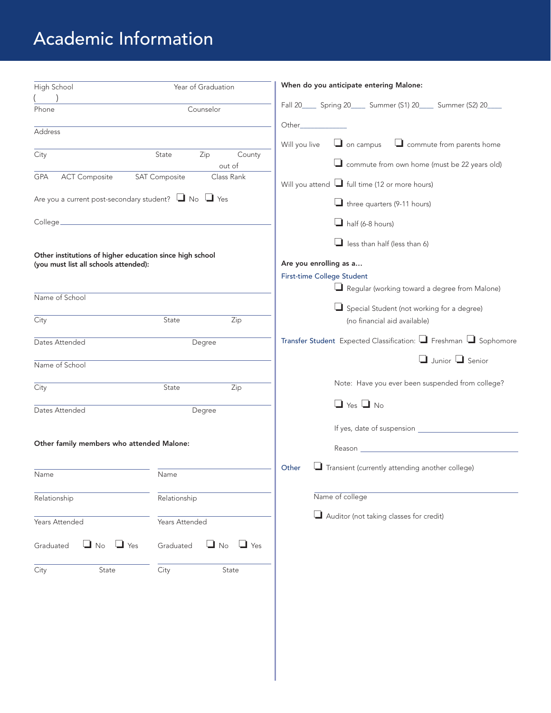## Academic Information

| High School                                                                                       | Year of Graduation                   | When do you anticipate entering Malone:                               |
|---------------------------------------------------------------------------------------------------|--------------------------------------|-----------------------------------------------------------------------|
|                                                                                                   |                                      | Fall 20______ Spring 20______ Summer (S1) 20_____ Summer (S2) 20____  |
| Phone                                                                                             | Counselor                            |                                                                       |
| Address                                                                                           |                                      | Other_                                                                |
|                                                                                                   |                                      | $\Box$ on campus<br>$\Box$ commute from parents home<br>Will you live |
| City                                                                                              | State<br>Zip<br>County<br>out of     | commute from own home (must be 22 years old)                          |
| <b>ACT Composite</b><br><b>GPA</b>                                                                | <b>SAT Composite</b><br>Class Rank   | Will you attend I full time (12 or more hours)                        |
| Are you a current post-secondary student? $\Box$ No $\Box$ Yes                                    |                                      | $\Box$ three quarters (9-11 hours)                                    |
| College_                                                                                          |                                      | $\Box$ half (6-8 hours)                                               |
|                                                                                                   |                                      | $\Box$ less than half (less than 6)                                   |
| Other institutions of higher education since high school<br>(you must list all schools attended): |                                      | Are you enrolling as a                                                |
|                                                                                                   |                                      | <b>First-time College Student</b>                                     |
|                                                                                                   |                                      | Regular (working toward a degree from Malone)                         |
| Name of School                                                                                    |                                      |                                                                       |
|                                                                                                   |                                      | Special Student (not working for a degree)                            |
| City                                                                                              | Zip<br>State                         | (no financial aid available)                                          |
| Dates Attended                                                                                    | Degree                               | Transfer Student Expected Classification: Freshman Sophomore          |
| Name of School                                                                                    |                                      | $\Box$ Junior $\Box$ Senior                                           |
| City                                                                                              | Zip<br>State                         | Note: Have you ever been suspended from college?                      |
| Dates Attended                                                                                    | Degree                               | $\Box$ Yes $\Box$ No                                                  |
|                                                                                                   |                                      |                                                                       |
|                                                                                                   |                                      |                                                                       |
| Other family members who attended Malone:                                                         |                                      |                                                                       |
|                                                                                                   |                                      | $\Box$ Transient (currently attending another college)<br>Other       |
| Name                                                                                              | Name                                 |                                                                       |
| Relationship                                                                                      | Relationship                         | Name of college                                                       |
| Years Attended                                                                                    | Years Attended                       | Auditor (not taking classes for credit)                               |
| $\Box$ No<br>$\Box$ Yes<br>Graduated                                                              | $\Box$ No<br>Graduated<br>$\Box$ Yes |                                                                       |
| City<br>State                                                                                     | City<br>State                        |                                                                       |
|                                                                                                   |                                      |                                                                       |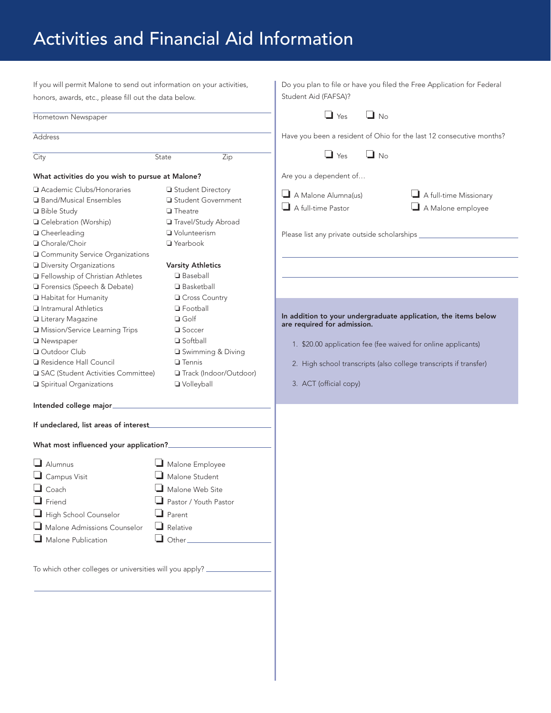## Activities and Financial Aid Information

| If you will permit Malone to send out information on your activities,                                                                                                                                                                                                                                                                                                                                   | Do you plan to file or have you filed the Free Application for Federal<br>Student Aid (FAFSA)?                                                                                                                                                                                                                                                                                                                                              |  |
|---------------------------------------------------------------------------------------------------------------------------------------------------------------------------------------------------------------------------------------------------------------------------------------------------------------------------------------------------------------------------------------------------------|---------------------------------------------------------------------------------------------------------------------------------------------------------------------------------------------------------------------------------------------------------------------------------------------------------------------------------------------------------------------------------------------------------------------------------------------|--|
|                                                                                                                                                                                                                                                                                                                                                                                                         | $\Box$ Yes<br>$\Box$ No<br>Have you been a resident of Ohio for the last 12 consecutive months?                                                                                                                                                                                                                                                                                                                                             |  |
|                                                                                                                                                                                                                                                                                                                                                                                                         |                                                                                                                                                                                                                                                                                                                                                                                                                                             |  |
| State<br>Zip                                                                                                                                                                                                                                                                                                                                                                                            | $\Box$ Yes<br>$\Box$ No                                                                                                                                                                                                                                                                                                                                                                                                                     |  |
| What activities do you wish to pursue at Malone?                                                                                                                                                                                                                                                                                                                                                        | Are you a dependent of                                                                                                                                                                                                                                                                                                                                                                                                                      |  |
| Student Directory<br>Student Government<br>$\Box$ Theatre<br>Travel/Study Abroad<br>Volunteerism<br>□ Yearbook<br>Gommunity Service Organizations<br><b>Varsity Athletics</b><br><b>Baseball</b><br>□ Basketball<br><b>Q</b> Cross Country<br><b>D</b> Football<br>$\Box$ Golf<br>$\Box$ Soccer<br>□ Softball<br>Swimming & Diving<br>$\Box$ Tennis<br>SAC (Student Activities Committee)<br>Volleyball | $\Box$ A Malone Alumna(us)<br>$\Box$ A full-time Missionary<br>$\Box$ A full-time Pastor<br>A Malone employee<br>Please list any private outside scholarships ____________<br>In addition to your undergraduate application, the items below<br>are required for admission.<br>1. \$20.00 application fee (fee waived for online applicants)<br>2. High school transcripts (also college transcripts if transfer)<br>3. ACT (official copy) |  |
|                                                                                                                                                                                                                                                                                                                                                                                                         |                                                                                                                                                                                                                                                                                                                                                                                                                                             |  |
|                                                                                                                                                                                                                                                                                                                                                                                                         |                                                                                                                                                                                                                                                                                                                                                                                                                                             |  |
| Malone Employee<br>$\Box$ Malone Student<br>Malone Web Site<br>Pastor / Youth Pastor<br>$\Box$ Parent<br>$\Box$ Relative<br>$\Box$ Other $\Box$<br>To which other colleges or universities will you apply? _________                                                                                                                                                                                    |                                                                                                                                                                                                                                                                                                                                                                                                                                             |  |
|                                                                                                                                                                                                                                                                                                                                                                                                         | honors, awards, etc., please fill out the data below.<br>Track (Indoor/Outdoor)                                                                                                                                                                                                                                                                                                                                                             |  |